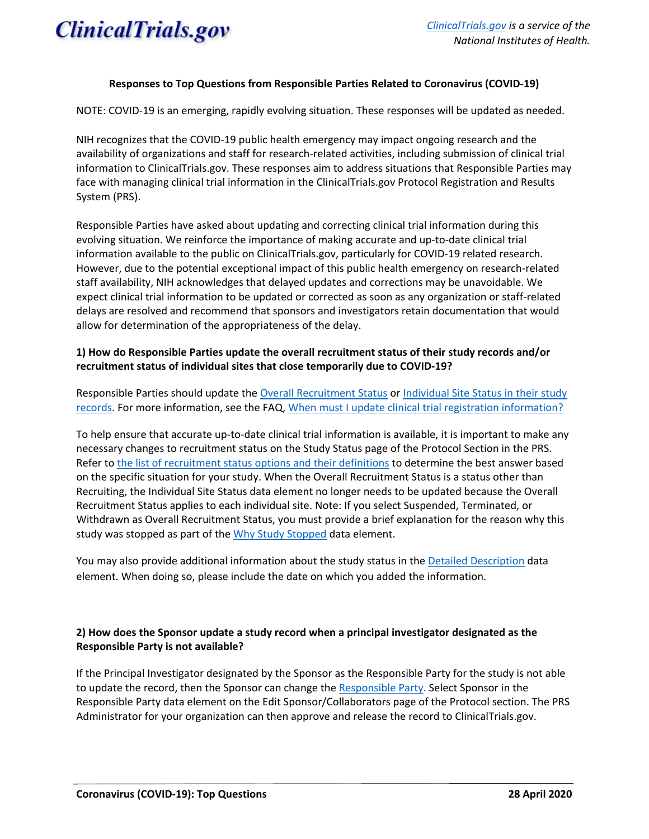

#### **Responses to Top Questions from Responsible Parties Related to Coronavirus (COVID-19)**

NOTE: COVID-19 is an emerging, rapidly evolving situation. These responses will be updated as needed.

NIH recognizes that the COVID-19 public health emergency may impact ongoing research and the availability of organizations and staff for research-related activities, including submission of clinical trial information to ClinicalTrials.gov. These responses aim to address situations that Responsible Parties may face with managing clinical trial information in the ClinicalTrials.gov Protocol Registration and Results System (PRS).

Responsible Parties have asked about updating and correcting clinical trial information during this evolving situation. We reinforce the importance of making accurate and up-to-date clinical trial information available to the public on ClinicalTrials.gov, particularly for COVID-19 related research. However, due to the potential exceptional impact of this public health emergency on research-related staff availability, NIH acknowledges that delayed updates and corrections may be unavoidable. We expect clinical trial information to be updated or corrected as soon as any organization or staff-related delays are resolved and recommend that sponsors and investigators retain documentation that would allow for determination of the appropriateness of the delay.

## **1) How do Responsible Parties update the overall recruitment status of their study records and/or recruitment status of individual sites that close temporarily due to COVID-19?**

Responsible Parties should update th[e Overall Recruitment Status](https://prsinfo.clinicaltrials.gov/definitions.html#OverallStatus) or [Individual Site Status](https://prsinfo.clinicaltrials.gov/definitions.html#FacilityStatus) in their study records. For more information, see the FAQ, [When must I update clinical trial registration information?](https://clinicaltrials.gov/ct2/manage-recs/faq#fr_23)

To help ensure that accurate up-to-date clinical trial information is available, it is important to make any necessary changes to recruitment status on the Study Status page of the Protocol Section in the PRS. Refer to [the list of recruitment status options and their definitions](https://prsinfo.clinicaltrials.gov/definitions.html#OverallStatus) to determine the best answer based on the specific situation for your study. When the Overall Recruitment Status is a status other than Recruiting, the Individual Site Status data element no longer needs to be updated because the Overall Recruitment Status applies to each individual site. Note: If you select Suspended, Terminated, or Withdrawn as Overall Recruitment Status, you must provide a brief explanation for the reason why this study was stopped as part of the [Why Study Stopped](https://prsinfo.clinicaltrials.gov/definitions.html#WhyStudyStopped) data element.

You may also provide additional information about the study status in the [Detailed Description](https://prsinfo.clinicaltrials.gov/definitions.html#DetailedDescription) data element. When doing so, please include the date on which you added the information.

## **2) How does the Sponsor update a study record when a principal investigator designated as the Responsible Party is not available?**

If the Principal Investigator designated by the Sponsor as the Responsible Party for the study is not able to update the record, then the Sponsor can change the [Responsible Party.](https://prsinfo.clinicaltrials.gov/definitions.html#RespParty) Select Sponsor in the Responsible Party data element on the Edit Sponsor/Collaborators page of the Protocol section. The PRS Administrator for your organization can then approve and release the record to ClinicalTrials.gov.